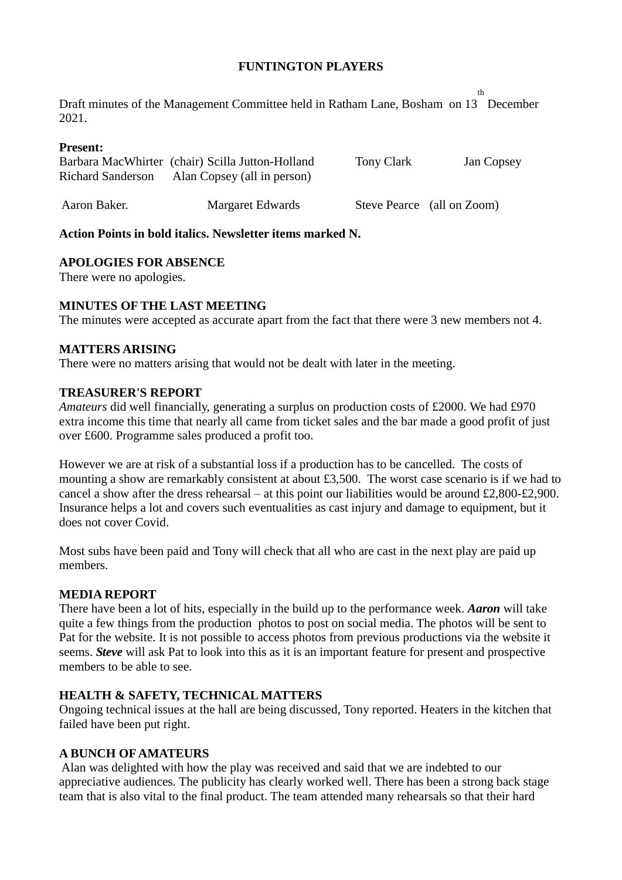### **FUNTINGTON PLAYERS**

Draft minutes of the Management Committee held in Ratham Lane, Bosham on 13 December th 2021.

#### **Present:**

|                          | Barbara MacWhirter (chair) Scilla Jutton-Holland | Tony Clark | Jan Copsey                 |
|--------------------------|--------------------------------------------------|------------|----------------------------|
| <b>Richard Sanderson</b> | Alan Copsey (all in person)                      |            |                            |
|                          |                                                  |            |                            |
| Aaron Baker.             | Margaret Edwards                                 |            | Steve Pearce (all on Zoom) |

#### **Action Points in bold italics. Newsletter items marked N.**

### **APOLOGIES FOR ABSENCE**

There were no apologies.

## **MINUTES OF THE LAST MEETING**

The minutes were accepted as accurate apart from the fact that there were 3 new members not 4.

### **MATTERS ARISING**

There were no matters arising that would not be dealt with later in the meeting.

### **TREASURER'S REPORT**

*Amateurs* did well financially, generating a surplus on production costs of £2000. We had £970 extra income this time that nearly all came from ticket sales and the bar made a good profit of just over £600. Programme sales produced a profit too.

However we are at risk of a substantial loss if a production has to be cancelled. The costs of mounting a show are remarkably consistent at about £3,500. The worst case scenario is if we had to cancel a show after the dress rehearsal – at this point our liabilities would be around £2,800-£2,900. Insurance helps a lot and covers such eventualities as cast injury and damage to equipment, but it does not cover Covid.

Most subs have been paid and Tony will check that all who are cast in the next play are paid up members.

#### **MEDIA REPORT**

There have been a lot of hits, especially in the build up to the performance week. *Aaron* will take quite a few things from the production photos to post on social media. The photos will be sent to Pat for the website. It is not possible to access photos from previous productions via the website it seems. *Steve* will ask Pat to look into this as it is an important feature for present and prospective members to be able to see.

## **HEALTH & SAFETY, TECHNICAL MATTERS**

Ongoing technical issues at the hall are being discussed, Tony reported. Heaters in the kitchen that failed have been put right.

#### **A BUNCH OF AMATEURS**

Alan was delighted with how the play was received and said that we are indebted to our appreciative audiences. The publicity has clearly worked well. There has been a strong back stage team that is also vital to the final product. The team attended many rehearsals so that their hard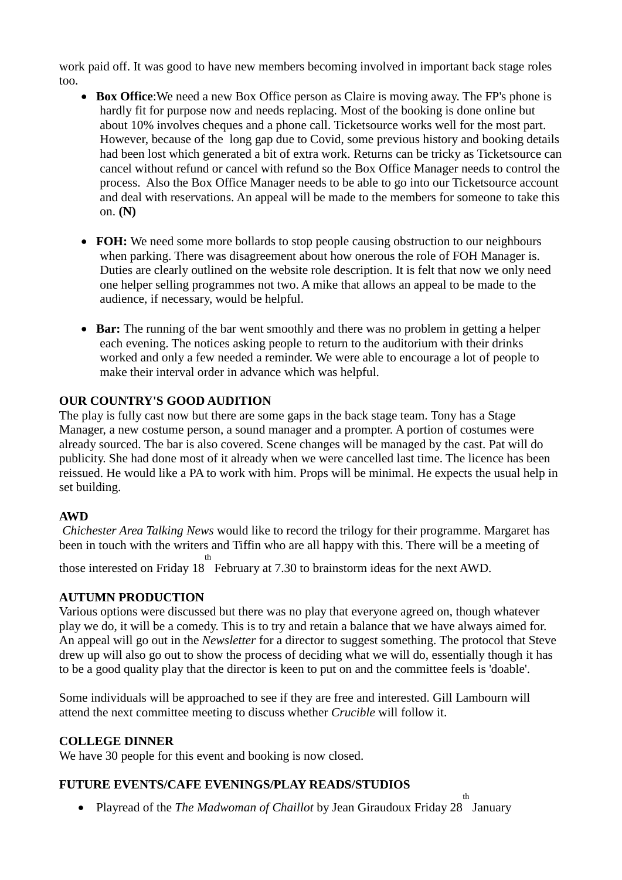work paid off. It was good to have new members becoming involved in important back stage roles too.

- **Box Office:** We need a new Box Office person as Claire is moving away. The FP's phone is hardly fit for purpose now and needs replacing. Most of the booking is done online but about 10% involves cheques and a phone call. Ticketsource works well for the most part. However, because of the long gap due to Covid, some previous history and booking details had been lost which generated a bit of extra work. Returns can be tricky as Ticketsource can cancel without refund or cancel with refund so the Box Office Manager needs to control the process. Also the Box Office Manager needs to be able to go into our Ticketsource account and deal with reservations. An appeal will be made to the members for someone to take this on. **(N)**
- **FOH:** We need some more bollards to stop people causing obstruction to our neighbours when parking. There was disagreement about how onerous the role of FOH Manager is. Duties are clearly outlined on the website role description. It is felt that now we only need one helper selling programmes not two. A mike that allows an appeal to be made to the audience, if necessary, would be helpful.
- **Bar:** The running of the bar went smoothly and there was no problem in getting a helper each evening. The notices asking people to return to the auditorium with their drinks worked and only a few needed a reminder. We were able to encourage a lot of people to make their interval order in advance which was helpful.

# **OUR COUNTRY'S GOOD AUDITION**

The play is fully cast now but there are some gaps in the back stage team. Tony has a Stage Manager, a new costume person, a sound manager and a prompter. A portion of costumes were already sourced. The bar is also covered. Scene changes will be managed by the cast. Pat will do publicity. She had done most of it already when we were cancelled last time. The licence has been reissued. He would like a PA to work with him. Props will be minimal. He expects the usual help in set building.

## **AWD**

*Chichester Area Talking News* would like to record the trilogy for their programme. Margaret has been in touch with the writers and Tiffin who are all happy with this. There will be a meeting of those interested on Friday 18 th February at 7.30 to brainstorm ideas for the next AWD.

## **AUTUMN PRODUCTION**

Various options were discussed but there was no play that everyone agreed on, though whatever play we do, it will be a comedy. This is to try and retain a balance that we have always aimed for. An appeal will go out in the *Newsletter* for a director to suggest something. The protocol that Steve drew up will also go out to show the process of deciding what we will do, essentially though it has to be a good quality play that the director is keen to put on and the committee feels is 'doable'.

Some individuals will be approached to see if they are free and interested. Gill Lambourn will attend the next committee meeting to discuss whether *Crucible* will follow it.

## **COLLEGE DINNER**

We have 30 people for this event and booking is now closed.

# **FUTURE EVENTS/CAFE EVENINGS/PLAY READS/STUDIOS**

th

• Playread of the *The Madwoman of Chaillot* by Jean Giraudoux Friday 28 January